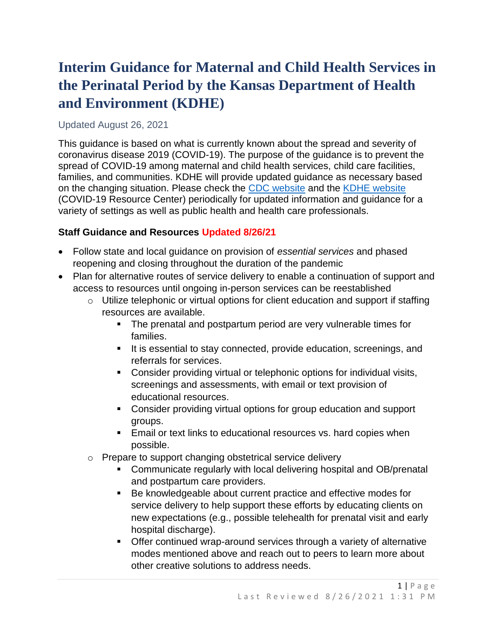# **Interim Guidance for Maternal and Child Health Services in the Perinatal Period by the Kansas Department of Health and Environment (KDHE)**

## Updated August 26, 2021

This guidance is based on what is currently known about the spread and severity of coronavirus disease 2019 (COVID-19). The purpose of the guidance is to prevent the spread of COVID-19 among maternal and child health services, child care facilities, families, and communities. KDHE will provide updated guidance as necessary based on the changing situation. Please check the [CDC website](https://www.cdc.gov/coronavirus/2019-ncov/index.html) and the [KDHE website](http://www.kdheks.gov/) (COVID-19 Resource Center) periodically for updated information and guidance for a variety of settings as well as public health and health care professionals.

## **Staff Guidance and Resources Updated 8/26/21**

- Follow state and local guidance on provision of *essential services* and phased reopening and closing throughout the duration of the pandemic
- Plan for alternative routes of service delivery to enable a continuation of support and access to resources until ongoing in-person services can be reestablished
	- $\circ$  Utilize telephonic or virtual options for client education and support if staffing resources are available.
		- The prenatal and postpartum period are very vulnerable times for families.
		- It is essential to stay connected, provide education, screenings, and referrals for services.
		- Consider providing virtual or telephonic options for individual visits, screenings and assessments, with email or text provision of educational resources.
		- Consider providing virtual options for group education and support groups.
		- Email or text links to educational resources vs. hard copies when possible.
	- o Prepare to support changing obstetrical service delivery
		- Communicate regularly with local delivering hospital and OB/prenatal and postpartum care providers.
		- Be knowledgeable about current practice and effective modes for service delivery to help support these efforts by educating clients on new expectations (e.g., possible telehealth for prenatal visit and early hospital discharge).
		- Offer continued wrap-around services through a variety of alternative modes mentioned above and reach out to peers to learn more about other creative solutions to address needs.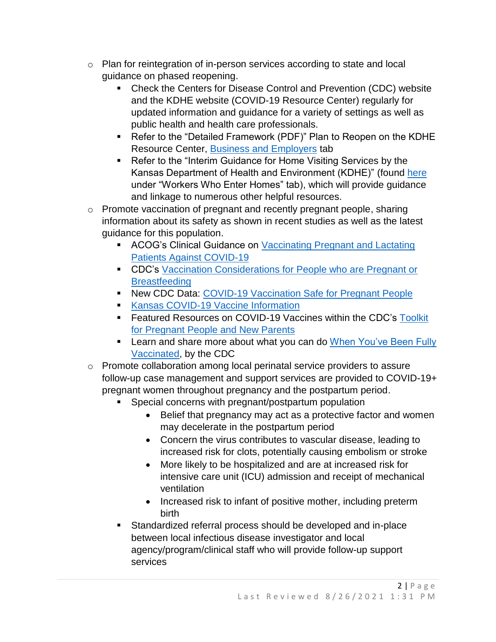- $\circ$  Plan for reintegration of in-person services according to state and local guidance on phased reopening.
	- Check the Centers for Disease Control and Prevention (CDC) website and the KDHE website (COVID-19 Resource Center) regularly for updated information and guidance for a variety of settings as well as public health and health care professionals.
	- Refer to the "Detailed Framework (PDF)" Plan to Reopen on the KDHE Resource Center, [Business and Employers](https://www.coronavirus.kdheks.gov/248/Business-Employers) tab
	- Refer to the "Interim Guidance for Home Visiting Services by the Kansas Department of Health and Environment (KDHE)" (found [here](https://www.coronavirus.kdheks.gov/248/Business-Employers) under "Workers Who Enter Homes" tab), which will provide guidance and linkage to numerous other helpful resources.
- o Promote vaccination of pregnant and recently pregnant people, sharing information about its safety as shown in recent studies as well as the latest guidance for this population.
	- **EXECC-** ACOG's Clinical Guidance on **Vaccinating Pregnant and Lactating** [Patients Against COVID-19](https://www.acog.org/clinical/clinical-guidance/practice-advisory/articles/2020/12/vaccinating-pregnant-and-lactating-patients-against-covid-19)
	- CDC's Vaccination Considerations for People who are Pregnant or **[Breastfeeding](https://www.cdc.gov/coronavirus/2019-ncov/vaccines/recommendations/pregnancy.html)**
	- New CDC Data: [COVID-19 Vaccination Safe for Pregnant People](https://www.cdc.gov/media/releases/2021/s0811-vaccine-safe-pregnant.html)
	- [Kansas COVID-19 Vaccine Information](https://www.kansasvaccine.gov/)
	- **EXECTE FEATURE:** Featured Resources on COVID-19 Vaccines within the CDC's Toolkit [for Pregnant People and New Parents](https://www.cdc.gov/coronavirus/2019-ncov/communication/toolkits/pregnant-people-and-new-parents.html)
	- **EXECT** Learn and share more about what you can do When You've Been Fully [Vaccinated,](https://www.cdc.gov/coronavirus/2019-ncov/vaccines/fully-vaccinated.html) by the CDC
- o Promote collaboration among local perinatal service providers to assure follow-up case management and support services are provided to COVID-19+ pregnant women throughout pregnancy and the postpartum period.
	- Special concerns with pregnant/postpartum population
		- Belief that pregnancy may act as a protective factor and women may decelerate in the postpartum period
		- Concern the virus contributes to vascular disease, leading to increased risk for clots, potentially causing embolism or stroke
		- More likely to be hospitalized and are at increased risk for intensive care unit (ICU) admission and receipt of mechanical ventilation
		- Increased risk to infant of positive mother, including preterm birth
	- Standardized referral process should be developed and in-place between local infectious disease investigator and local agency/program/clinical staff who will provide follow-up support services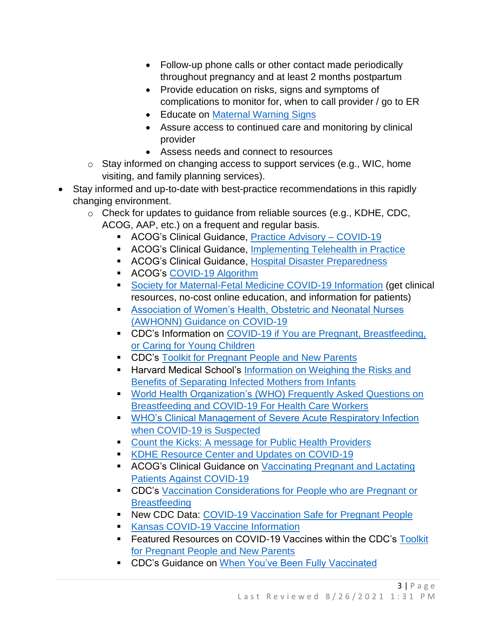- Follow-up phone calls or other contact made periodically throughout pregnancy and at least 2 months postpartum
- Provide education on risks, signs and symptoms of complications to monitor for, when to call provider / go to ER
- Educate on [Maternal Warning Signs](https://www.kdheks.gov/c-f/maternal_warning_signs.htm)
- Assure access to continued care and monitoring by clinical provider
- Assess needs and connect to resources
- $\circ$  Stay informed on changing access to support services (e.g., WIC, home visiting, and family planning services).
- Stay informed and up-to-date with best-practice recommendations in this rapidly changing environment.
	- o Check for updates to guidance from reliable sources (e.g., KDHE, CDC, ACOG, AAP, etc.) on a frequent and regular basis.
		- ACOG's Clinical Guidance, [Practice Advisory –](https://www.acog.org/clinical/clinical-guidance/practice-advisory/articles/2020/03/novel-coronavirus-2019) COVID-19
		- ACOG's Clinical Guidance, [Implementing Telehealth in Practice](https://www.acog.org/clinical/clinical-guidance/committee-opinion/articles/2020/02/implementing-telehealth-in-practice)
		- ACOG's Clinical Guidance, [Hospital Disaster Preparedness](https://www.acog.org/clinical/clinical-guidance/committee-opinion/articles/2017/12/hospital-disaster-preparedness-for-obstetricians-and-facilities-providing-maternity-care)
		- ACOG's [COVID-19 Algorithm](https://www.acog.org/-/media/project/acog/acogorg/files/pdfs/clinical-guidance/practice-advisory/covid-19-algorithm.pdf?la=en&hash=2D9E7F62C97F8231561616FFDCA3B1A6)
		- [Society for Maternal-Fetal Medicine COVID-19 Information](https://www.smfm.org/) (get clinical resources, no-cost online education, and information for patients)
		- Association of Women's Health, Obstetric and Neonatal Nurses [\(AWHONN\) Guidance on COVID-19](https://awhonn.org/novel-coronavirus-covid-19/)
		- CDC's Information on COVID-19 if You are Pregnant, Breastfeeding, [or Caring for Young Children](https://www.cdc.gov/coronavirus/2019-ncov/need-extra-precautions/pregnancy-breastfeeding.html)
		- CDC's [Toolkit for Pregnant People and New Parents](https://www.cdc.gov/coronavirus/2019-ncov/communication/toolkits/pregnant-people-and-new-parents.html)
		- **E** Harvard Medical School's Information on Weighing the Risks and [Benefits of Separating Infected Mothers from Infants](https://trends.hms.harvard.edu/2020/03/31/covid-19-separating-infected-mothers-from-newborns-weighing-the-risks-and-benefits/)
		- World Health Organization's (WHO) Frequently Asked Questions on [Breastfeeding and COVID-19 For Health Care Workers](https://www.who.int/docs/default-source/maternal-health/faqs-breastfeeding-and-covid-19.pdf?sfvrsn=d839e6c0_1)
		- **WHO's Clinical Management of Severe Acute Respiratory Infection** [when COVID-19 is Suspected](https://www.who.int/publications-detail/clinical-management-of-severe-acute-respiratory-infection-when-novel-coronavirus-(ncov)-infection-is-suspected)
		- [Count the Kicks: A message for Public Health Providers](https://www.countthekicks.org/covid19/)
		- **[KDHE Resource Center and Updates on COVID-19](https://www.coronavirus.kdheks.gov/)**
		- ACOG's Clinical Guidance on [Vaccinating Pregnant](https://www.acog.org/clinical/clinical-guidance/practice-advisory/articles/2020/12/vaccinating-pregnant-and-lactating-patients-against-covid-19) and Lactating [Patients Against COVID-19](https://www.acog.org/clinical/clinical-guidance/practice-advisory/articles/2020/12/vaccinating-pregnant-and-lactating-patients-against-covid-19)
		- **EDC's Vaccination Considerations for People who are Pregnant or [Breastfeeding](https://www.cdc.gov/coronavirus/2019-ncov/vaccines/recommendations/pregnancy.html)**
		- **EXECT DESCRIPTION IS A LOCAL PROPERTY NET** New CDC Data: [COVID-19 Vaccination Safe for Pregnant People](https://www.cdc.gov/media/releases/2021/s0811-vaccine-safe-pregnant.html)
		- [Kansas COVID-19 Vaccine Information](https://www.kansasvaccine.gov/)
		- Featured Resources on COVID-19 Vaccines within the CDC's Toolkit [for Pregnant People and New Parents](https://www.cdc.gov/coronavirus/2019-ncov/communication/toolkits/pregnant-people-and-new-parents.html)
		- **EXECTS** Cuidance on [When You've Been Fully Vaccinated](https://www.cdc.gov/coronavirus/2019-ncov/vaccines/fully-vaccinated.html)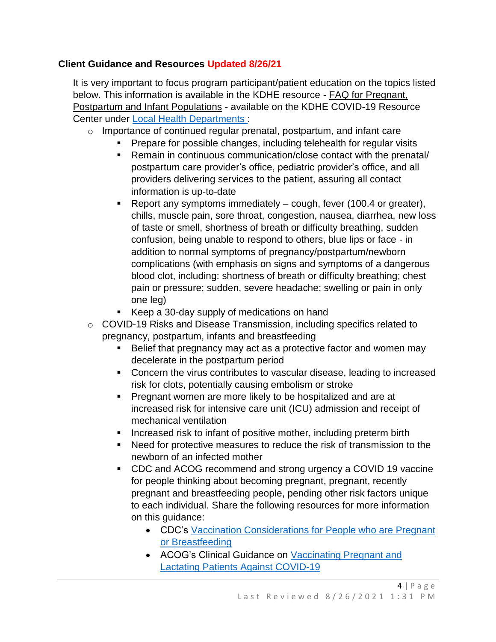## **Client Guidance and Resources Updated 8/26/21**

It is very important to focus program participant/patient education on the topics listed below. This information is available in the KDHE resource - FAQ for Pregnant, Postpartum and Infant Populations - available on the KDHE COVID-19 Resource Center under [Local Health Departments :](https://www.coronavirus.kdheks.gov/170/Healthcare-Providers)

- o Importance of continued regular prenatal, postpartum, and infant care
	- Prepare for possible changes, including telehealth for regular visits
		- Remain in continuous communication/close contact with the prenatal/ postpartum care provider's office, pediatric provider's office, and all providers delivering services to the patient, assuring all contact information is up-to-date
		- **•** Report any symptoms immediately  $-$  cough, fever (100.4 or greater), chills, muscle pain, sore throat, congestion, nausea, diarrhea, new loss of taste or smell, shortness of breath or difficulty breathing, sudden confusion, being unable to respond to others, blue lips or face - in addition to normal symptoms of pregnancy/postpartum/newborn complications (with emphasis on signs and symptoms of a dangerous blood clot, including: shortness of breath or difficulty breathing; chest pain or pressure; sudden, severe headache; swelling or pain in only one leg)
		- Keep a 30-day supply of medications on hand
- o COVID-19 Risks and Disease Transmission, including specifics related to pregnancy, postpartum, infants and breastfeeding
	- Belief that pregnancy may act as a protective factor and women may decelerate in the postpartum period
	- Concern the virus contributes to vascular disease, leading to increased risk for clots, potentially causing embolism or stroke
	- **Pregnant women are more likely to be hospitalized and are at** increased risk for intensive care unit (ICU) admission and receipt of mechanical ventilation
	- **EXEDEE** Increased risk to infant of positive mother, including preterm birth
	- Need for protective measures to reduce the risk of transmission to the newborn of an infected mother
	- CDC and ACOG recommend and strong urgency a COVID 19 vaccine for people thinking about becoming pregnant, pregnant, recently pregnant and breastfeeding people, pending other risk factors unique to each individual. Share the following resources for more information on this guidance:
		- CDC's [Vaccination Considerations for People who are Pregnant](https://www.cdc.gov/coronavirus/2019-ncov/vaccines/recommendations/pregnancy.html)  [or Breastfeeding](https://www.cdc.gov/coronavirus/2019-ncov/vaccines/recommendations/pregnancy.html)
		- ACOG's Clinical Guidance on [Vaccinating Pregnant and](https://www.acog.org/clinical/clinical-guidance/practice-advisory/articles/2020/12/vaccinating-pregnant-and-lactating-patients-against-covid-19)  [Lactating Patients Against COVID-19](https://www.acog.org/clinical/clinical-guidance/practice-advisory/articles/2020/12/vaccinating-pregnant-and-lactating-patients-against-covid-19)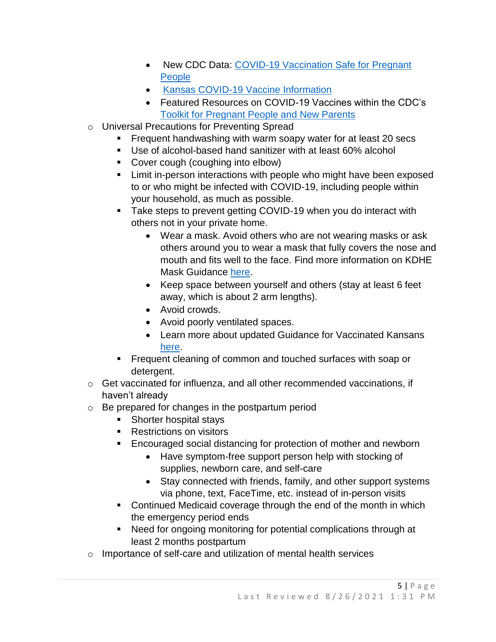- New CDC Data: COVID-19 Vaccination Safe for Pregnant [People](https://www.cdc.gov/media/releases/2021/s0811-vaccine-safe-pregnant.html)
- [Kansas COVID-19 Vaccine Information](https://www.kansasvaccine.gov/)
- Featured Resources on COVID-19 Vaccines within the CDC's [Toolkit for Pregnant People and New Parents](https://www.cdc.gov/coronavirus/2019-ncov/communication/toolkits/pregnant-people-and-new-parents.html)
- o Universal Precautions for Preventing Spread
	- Frequent handwashing with warm soapy water for at least 20 secs
	- Use of alcohol-based hand sanitizer with at least 60% alcohol
	- Cover cough (coughing into elbow)
	- **EXECT** Limit in-person interactions with people who might have been exposed to or who might be infected with COVID-19, including people within your household, as much as possible.
	- Take steps to prevent getting COVID-19 when you do interact with others not in your private home.
		- Wear a mask. Avoid others who are not wearing masks or ask others around you to wear a mask that fully covers the nose and mouth and fits well to the face. Find more information on KDHE Mask Guidance [here.](https://www.coronavirus.kdheks.gov/DocumentCenter/View/441/KDHE-Mask-Guidance-PDF---3-1-21)
		- Keep space between yourself and others (stay at least 6 feet away, which is about 2 arm lengths).
		- Avoid crowds.
		- Avoid poorly ventilated spaces.
		- Learn more about updated Guidance for Vaccinated Kansans [here.](https://www.coronavirus.kdheks.gov/DocumentCenter/View/1790/Vaccinated-Kansans-Guidance-PDF---5-3-21)
	- Frequent cleaning of common and touched surfaces with soap or detergent.
- o Get vaccinated for influenza, and all other recommended vaccinations, if haven't already
- o Be prepared for changes in the postpartum period
	- Shorter hospital stays
	- Restrictions on visitors
	- Encouraged social distancing for protection of mother and newborn
		- Have symptom-free support person help with stocking of supplies, newborn care, and self-care
		- Stay connected with friends, family, and other support systems via phone, text, FaceTime, etc. instead of in-person visits
	- Continued Medicaid coverage through the end of the month in which the emergency period ends
	- Need for ongoing monitoring for potential complications through at least 2 months postpartum
- o Importance of self-care and utilization of mental health services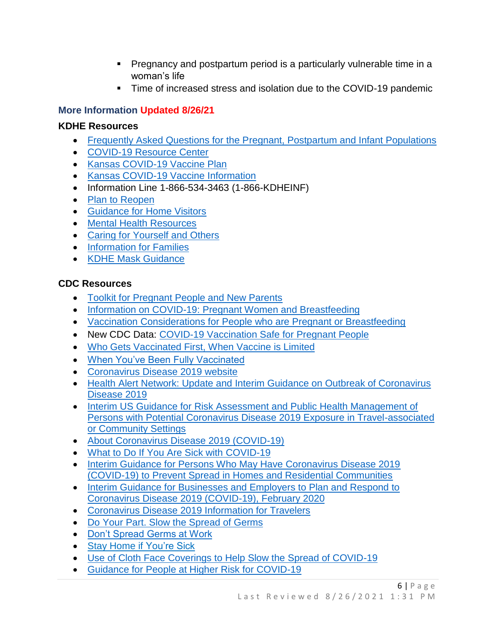- Pregnancy and postpartum period is a particularly vulnerable time in a woman's life
- Time of increased stress and isolation due to the COVID-19 pandemic

# **More Information Updated 8/26/21**

## **KDHE Resources**

- [Frequently Asked Questions for the Pregnant, Postpartum](https://www.coronavirus.kdheks.gov/170/Healthcare-Providers) and Infant Populations
- [COVID-19 Resource Center](https://www.coronavirus.kdheks.gov/)
- [Kansas COVID-19 Vaccine Plan](https://www.coronavirus.kdheks.gov/284/COVID-19-Vaccine)
- [Kansas COVID-19 Vaccine Information](https://www.kansasvaccine.gov/)
- Information Line 1-866-534-3463 (1-866-KDHEINF)
- [Plan to Reopen](https://www.coronavirus.kdheks.gov/248/Business-Employers)
- [Guidance for Home Visitors](https://www.coronavirus.kdheks.gov/248/Business-Employers)
- [Mental Health Resources](https://www.coronavirus.kdheks.gov/244/Mental-Health-Professionals)
- [Caring for Yourself and Others](https://www.coronavirus.kdheks.gov/246/Individual-Family-Care)
- [Information for Families](https://www.coronavirus.kdheks.gov/246/Individual-Family-Care)
- [KDHE Mask Guidance](https://www.coronavirus.kdheks.gov/DocumentCenter/View/441/KDHE-Mask-Guidance-PDF---3-1-21?bidId=#:~:text=KDHE%20recommends%20wearing%20a%20mask,should%20wear%20masks%20in%20public.)

## **CDC Resources**

- [Toolkit for Pregnant People and New Parents](https://www.cdc.gov/coronavirus/2019-ncov/communication/toolkits/pregnant-people-and-new-parents.html)
- [Information on COVID-19: Pregnant Women and Breastfeeding](https://www.cdc.gov/coronavirus/2019-ncov/need-extra-precautions/pregnancy-breastfeeding.html?CDC_AA_refVal=https%3A%2F%2Fwww.cdc.gov%2Fcoronavirus%2F2019-ncov%2Fprepare%2Fpregnancy-breastfeeding.html)
- [Vaccination Considerations for People who are Pregnant or Breastfeeding](https://www.cdc.gov/coronavirus/2019-ncov/vaccines/recommendations/pregnancy.html)
- New CDC Data: [COVID-19 Vaccination Safe for Pregnant People](https://www.cdc.gov/media/releases/2021/s0811-vaccine-safe-pregnant.html)
- [Who Gets Vaccinated First, When Vaccine is Limited](https://www.cdc.gov/coronavirus/2019-ncov/vaccines/recommendations.html)
- [When You've Been Fully Vaccinated](https://www.cdc.gov/coronavirus/2019-ncov/vaccines/fully-vaccinated.html)
- [Coronavirus Disease 2019 website](https://www.cdc.gov/coronavirus/2019-ncov/index.html)
- [Health Alert Network: Update and Interim Guidance on Outbreak of Coronavirus](https://emergency.cdc.gov/han/han00427.asp)  [Disease 2019](https://emergency.cdc.gov/han/han00427.asp)
- [Interim US Guidance for Risk Assessment and Public Health Management of](https://www.cdc.gov/coronavirus/2019-ncov/php/risk-assessment.html)  [Persons with Potential Coronavirus Disease 2019 Exposure in Travel-associated](https://www.cdc.gov/coronavirus/2019-ncov/php/risk-assessment.html)  [or Community Settings](https://www.cdc.gov/coronavirus/2019-ncov/php/risk-assessment.html)
- [About Coronavirus Disease 2019 \(COVID-19\)](https://www.cdc.gov/coronavirus/2019-ncov/about/index.html)
- [What to Do If You Are Sick with](https://www.cdc.gov/coronavirus/2019-ncov/downloads/sick-with-2019-nCoV-fact-sheet.pdf) COVID-19
- [Interim Guidance for Persons Who May Have Coronavirus Disease 2019](https://www.cdc.gov/coronavirus/2019-ncov/hcp/guidance-prevent-spread.html)  [\(COVID-19\) to Prevent Spread in Homes and Residential Communities](https://www.cdc.gov/coronavirus/2019-ncov/hcp/guidance-prevent-spread.html)
- [Interim Guidance for Businesses and Employers to Plan and Respond to](https://www.cdc.gov/coronavirus/2019-ncov/guidance-business-response.html)  [Coronavirus Disease 2019 \(COVID-19\), February 2020](https://www.cdc.gov/coronavirus/2019-ncov/guidance-business-response.html)
- [Coronavirus Disease 2019 Information for Travelers](https://www.cdc.gov/coronavirus/2019-ncov/travelers/index.html)
- [Do Your Part. Slow the Spread of Germs](https://www.cdc.gov/nonpharmaceutical-interventions/pdf/slow-spread-germs-item1.pdf)
- [Don't Spread Germs at Work](https://www.cdc.gov/nonpharmaceutical-interventions/pdf/dont-spread-germs-work-employers-item2.pdf)
- Stay Home [if](https://www.cdc.gov/nonpharmaceutical-interventions/pdf/stay-home-youre-sick-item5.pdf) You're Sick
- [Use of Cloth Face Coverings to Help Slow the Spread of COVID-19](https://www.cdc.gov/coronavirus/2019-ncov/prevent-getting-sick/diy-cloth-face-coverings.html)
- [Guidance for People at Higher Risk for COVID-19](https://gcc01.safelinks.protection.outlook.com/?url=https%3A%2F%2Fwww.cdc.gov%2Fcoronavirus%2F2019-ncov%2Fspecific-groups%2Fhigh-risk-complications.html&data=02%7C01%7CRachel.Sisson%40ks.gov%7C2b627b3ead6b4dcda39f08d7c9b23087%7Cdcae8101c92d480cbc43c6761ccccc5a%7C0%7C0%7C637199639467060168&sdata=qtpSnKzKOrLkQnfzMzu0WSpf%2F0PGWJW%2BAR%2FD9pBG4mA%3D&reserved=0)